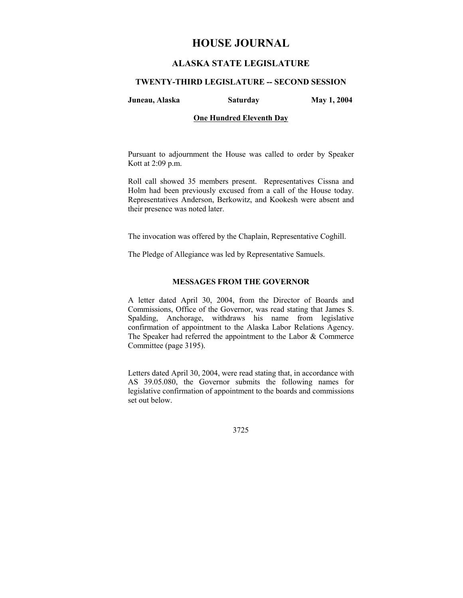# **HOUSE JOURNAL**

# **ALASKA STATE LEGISLATURE**

## **TWENTY-THIRD LEGISLATURE -- SECOND SESSION**

**Juneau, Alaska Saturday May 1, 2004** 

# **One Hundred Eleventh Day**

Pursuant to adjournment the House was called to order by Speaker Kott at 2:09 p.m.

Roll call showed 35 members present. Representatives Cissna and Holm had been previously excused from a call of the House today. Representatives Anderson, Berkowitz, and Kookesh were absent and their presence was noted later.

The invocation was offered by the Chaplain, Representative Coghill.

The Pledge of Allegiance was led by Representative Samuels.

# **MESSAGES FROM THE GOVERNOR**

A letter dated April 30, 2004, from the Director of Boards and Commissions, Office of the Governor, was read stating that James S. Spalding, Anchorage, withdraws his name from legislative confirmation of appointment to the Alaska Labor Relations Agency. The Speaker had referred the appointment to the Labor & Commerce Committee (page 3195).

Letters dated April 30, 2004, were read stating that, in accordance with AS 39.05.080, the Governor submits the following names for legislative confirmation of appointment to the boards and commissions set out below.

3725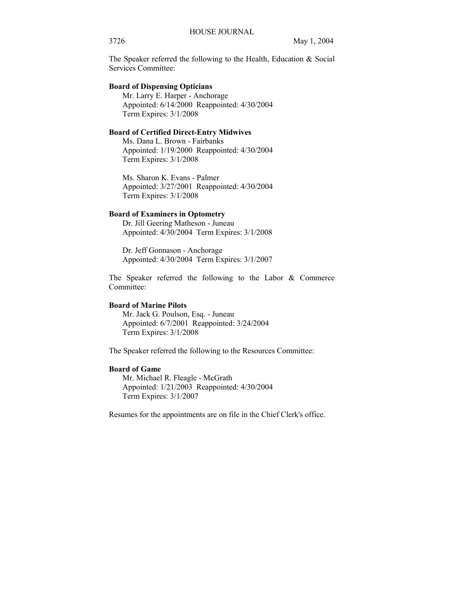The Speaker referred the following to the Health, Education & Social Services Committee:

# **Board of Dispensing Opticians**

 Mr. Larry E. Harper - Anchorage Appointed: 6/14/2000 Reappointed: 4/30/2004 Term Expires: 3/1/2008

## **Board of Certified Direct-Entry Midwives**

 Ms. Dana L. Brown - Fairbanks Appointed: 1/19/2000 Reappointed: 4/30/2004 Term Expires: 3/1/2008

 Ms. Sharon K. Evans - Palmer Appointed: 3/27/2001 Reappointed: 4/30/2004 Term Expires: 3/1/2008

# **Board of Examiners in Optometry**

 Dr. Jill Geering Matheson - Juneau Appointed: 4/30/2004 Term Expires: 3/1/2008

 Dr. Jeff Gonnason - Anchorage Appointed: 4/30/2004 Term Expires: 3/1/2007

The Speaker referred the following to the Labor & Commerce Committee:

#### **Board of Marine Pilots**

 Mr. Jack G. Poulson, Esq. - Juneau Appointed: 6/7/2001 Reappointed: 3/24/2004 Term Expires: 3/1/2008

The Speaker referred the following to the Resources Committee:

## **Board of Game**

 Mr. Michael R. Fleagle - McGrath Appointed: 1/21/2003 Reappointed: 4/30/2004 Term Expires: 3/1/2007

Resumes for the appointments are on file in the Chief Clerk's office.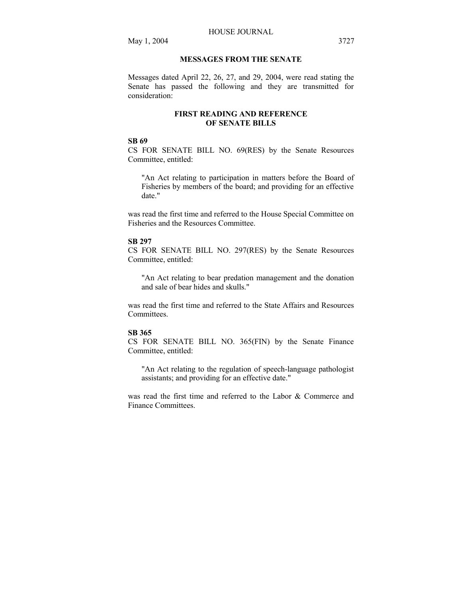# **MESSAGES FROM THE SENATE**

Messages dated April 22, 26, 27, and 29, 2004, were read stating the Senate has passed the following and they are transmitted for consideration:

# **FIRST READING AND REFERENCE OF SENATE BILLS**

# **SB 69**

CS FOR SENATE BILL NO. 69(RES) by the Senate Resources Committee, entitled:

"An Act relating to participation in matters before the Board of Fisheries by members of the board; and providing for an effective date."

was read the first time and referred to the House Special Committee on Fisheries and the Resources Committee.

#### **SB 297**

CS FOR SENATE BILL NO. 297(RES) by the Senate Resources Committee, entitled:

"An Act relating to bear predation management and the donation and sale of bear hides and skulls."

was read the first time and referred to the State Affairs and Resources Committees.

#### **SB 365**

CS FOR SENATE BILL NO. 365(FIN) by the Senate Finance Committee, entitled:

"An Act relating to the regulation of speech-language pathologist assistants; and providing for an effective date."

was read the first time and referred to the Labor & Commerce and Finance Committees.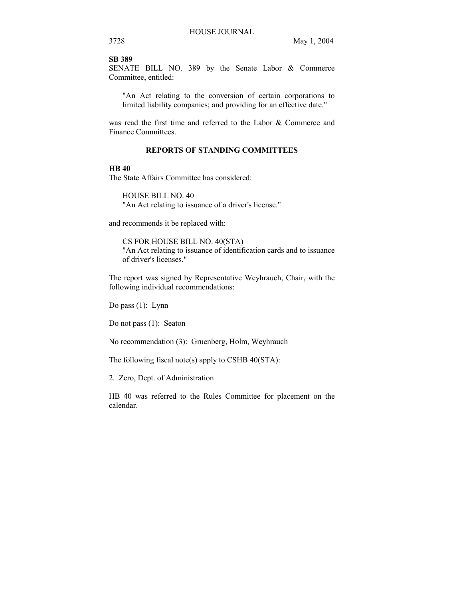#### **SB 389**

SENATE BILL NO. 389 by the Senate Labor & Commerce Committee, entitled:

"An Act relating to the conversion of certain corporations to limited liability companies; and providing for an effective date."

was read the first time and referred to the Labor & Commerce and Finance Committees.

# **REPORTS OF STANDING COMMITTEES**

# **HB 40**

The State Affairs Committee has considered:

HOUSE BILL NO. 40 "An Act relating to issuance of a driver's license."

and recommends it be replaced with:

CS FOR HOUSE BILL NO. 40(STA) "An Act relating to issuance of identification cards and to issuance of driver's licenses."

The report was signed by Representative Weyhrauch, Chair, with the following individual recommendations:

Do pass (1): Lynn

Do not pass (1): Seaton

No recommendation (3): Gruenberg, Holm, Weyhrauch

The following fiscal note(s) apply to CSHB 40(STA):

2. Zero, Dept. of Administration

HB 40 was referred to the Rules Committee for placement on the calendar.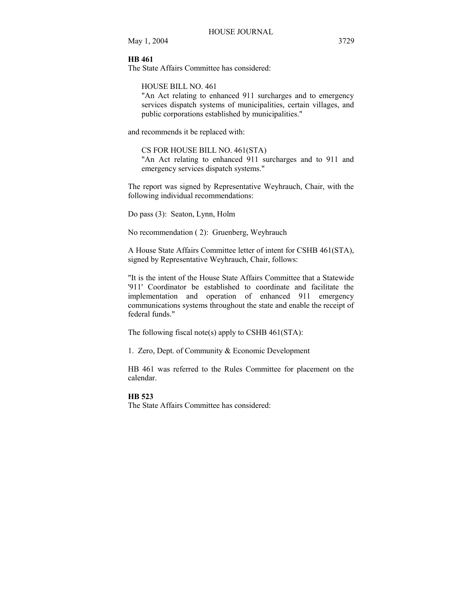## **HB 461**

The State Affairs Committee has considered:

HOUSE BILL NO. 461

"An Act relating to enhanced 911 surcharges and to emergency services dispatch systems of municipalities, certain villages, and public corporations established by municipalities."

and recommends it be replaced with:

CS FOR HOUSE BILL NO. 461(STA) "An Act relating to enhanced 911 surcharges and to 911 and emergency services dispatch systems."

The report was signed by Representative Weyhrauch, Chair, with the following individual recommendations:

Do pass (3): Seaton, Lynn, Holm

No recommendation ( 2): Gruenberg, Weyhrauch

A House State Affairs Committee letter of intent for CSHB 461(STA), signed by Representative Weyhrauch, Chair, follows:

"It is the intent of the House State Affairs Committee that a Statewide '911' Coordinator be established to coordinate and facilitate the implementation and operation of enhanced 911 emergency communications systems throughout the state and enable the receipt of federal funds."

The following fiscal note(s) apply to CSHB 461(STA):

1. Zero, Dept. of Community & Economic Development

HB 461 was referred to the Rules Committee for placement on the calendar.

#### **HB 523**

The State Affairs Committee has considered: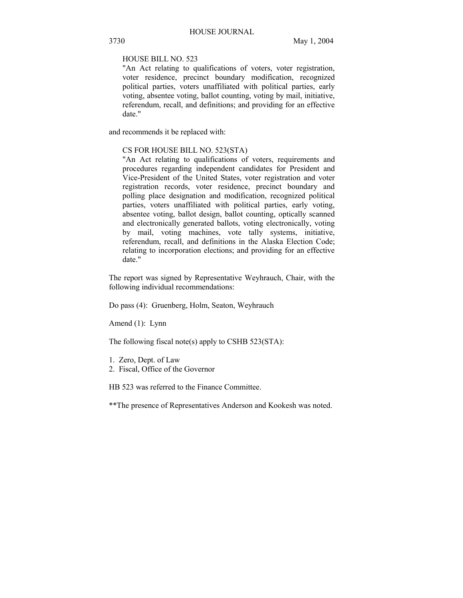HOUSE BILL NO. 523

"An Act relating to qualifications of voters, voter registration, voter residence, precinct boundary modification, recognized political parties, voters unaffiliated with political parties, early voting, absentee voting, ballot counting, voting by mail, initiative, referendum, recall, and definitions; and providing for an effective date."

and recommends it be replaced with:

# CS FOR HOUSE BILL NO. 523(STA)

"An Act relating to qualifications of voters, requirements and procedures regarding independent candidates for President and Vice-President of the United States, voter registration and voter registration records, voter residence, precinct boundary and polling place designation and modification, recognized political parties, voters unaffiliated with political parties, early voting, absentee voting, ballot design, ballot counting, optically scanned and electronically generated ballots, voting electronically, voting by mail, voting machines, vote tally systems, initiative, referendum, recall, and definitions in the Alaska Election Code; relating to incorporation elections; and providing for an effective date."

The report was signed by Representative Weyhrauch, Chair, with the following individual recommendations:

Do pass (4): Gruenberg, Holm, Seaton, Weyhrauch

Amend (1): Lynn

The following fiscal note(s) apply to CSHB  $523(STA)$ :

- 1. Zero, Dept. of Law
- 2. Fiscal, Office of the Governor

HB 523 was referred to the Finance Committee.

\*\*The presence of Representatives Anderson and Kookesh was noted.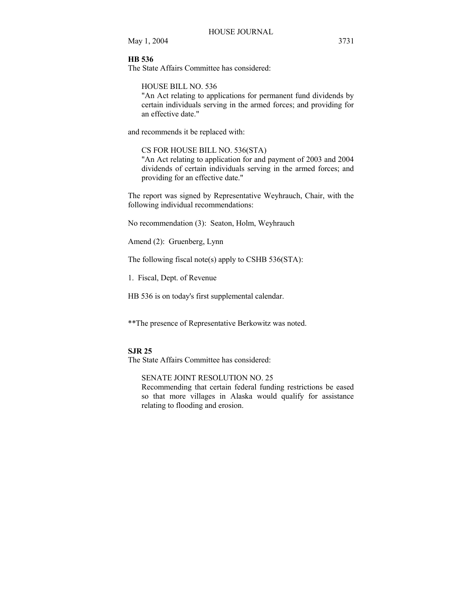# **HB 536**

The State Affairs Committee has considered:

HOUSE BILL NO. 536

"An Act relating to applications for permanent fund dividends by certain individuals serving in the armed forces; and providing for an effective date."

and recommends it be replaced with:

# CS FOR HOUSE BILL NO. 536(STA)

"An Act relating to application for and payment of 2003 and 2004 dividends of certain individuals serving in the armed forces; and providing for an effective date."

The report was signed by Representative Weyhrauch, Chair, with the following individual recommendations:

No recommendation (3): Seaton, Holm, Weyhrauch

Amend (2): Gruenberg, Lynn

The following fiscal note(s) apply to CSHB 536(STA):

1. Fiscal, Dept. of Revenue

HB 536 is on today's first supplemental calendar.

\*\*The presence of Representative Berkowitz was noted.

## **SJR 25**

The State Affairs Committee has considered:

SENATE JOINT RESOLUTION NO. 25 Recommending that certain federal funding restrictions be eased

so that more villages in Alaska would qualify for assistance relating to flooding and erosion.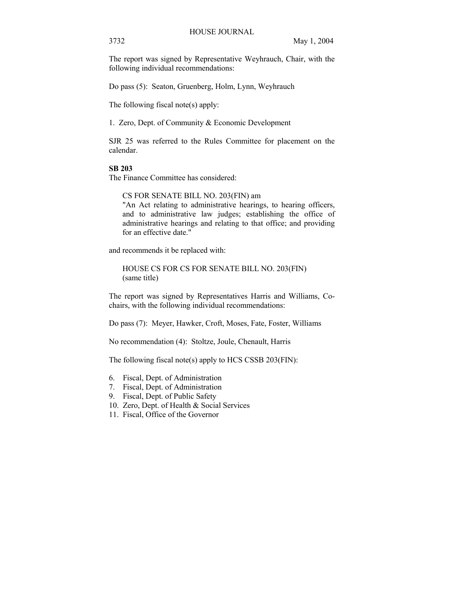The report was signed by Representative Weyhrauch, Chair, with the following individual recommendations:

Do pass (5): Seaton, Gruenberg, Holm, Lynn, Weyhrauch

The following fiscal note(s) apply:

1. Zero, Dept. of Community & Economic Development

SJR 25 was referred to the Rules Committee for placement on the calendar.

## **SB 203**

The Finance Committee has considered:

CS FOR SENATE BILL NO. 203(FIN) am

"An Act relating to administrative hearings, to hearing officers, and to administrative law judges; establishing the office of administrative hearings and relating to that office; and providing for an effective date."

and recommends it be replaced with:

HOUSE CS FOR CS FOR SENATE BILL NO. 203(FIN) (same title)

The report was signed by Representatives Harris and Williams, Cochairs, with the following individual recommendations:

Do pass (7): Meyer, Hawker, Croft, Moses, Fate, Foster, Williams

No recommendation (4): Stoltze, Joule, Chenault, Harris

The following fiscal note(s) apply to HCS CSSB 203(FIN):

- 6. Fiscal, Dept. of Administration
- 7. Fiscal, Dept. of Administration
- 9. Fiscal, Dept. of Public Safety
- 10. Zero, Dept. of Health & Social Services
- 11. Fiscal, Office of the Governor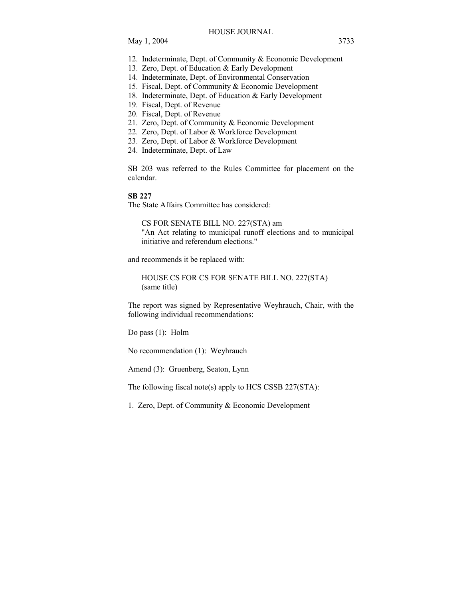- 12. Indeterminate, Dept. of Community & Economic Development
- 13. Zero, Dept. of Education & Early Development
- 14. Indeterminate, Dept. of Environmental Conservation
- 15. Fiscal, Dept. of Community & Economic Development
- 18. Indeterminate, Dept. of Education & Early Development
- 19. Fiscal, Dept. of Revenue
- 20. Fiscal, Dept. of Revenue
- 21. Zero, Dept. of Community & Economic Development
- 22. Zero, Dept. of Labor & Workforce Development
- 23. Zero, Dept. of Labor & Workforce Development
- 24. Indeterminate, Dept. of Law

SB 203 was referred to the Rules Committee for placement on the calendar.

## **SB 227**

The State Affairs Committee has considered:

CS FOR SENATE BILL NO. 227(STA) am "An Act relating to municipal runoff elections and to municipal initiative and referendum elections."

and recommends it be replaced with:

HOUSE CS FOR CS FOR SENATE BILL NO. 227(STA) (same title)

The report was signed by Representative Weyhrauch, Chair, with the following individual recommendations:

Do pass (1): Holm

No recommendation (1): Weyhrauch

Amend (3): Gruenberg, Seaton, Lynn

The following fiscal note(s) apply to HCS CSSB 227(STA):

1. Zero, Dept. of Community & Economic Development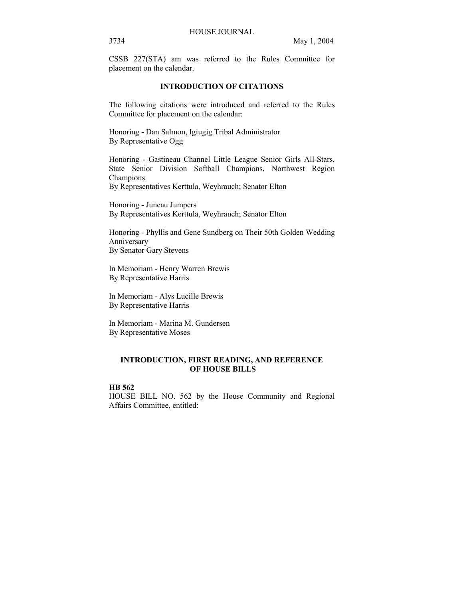CSSB 227(STA) am was referred to the Rules Committee for placement on the calendar.

# **INTRODUCTION OF CITATIONS**

The following citations were introduced and referred to the Rules Committee for placement on the calendar:

Honoring - Dan Salmon, Igiugig Tribal Administrator By Representative Ogg

Honoring - Gastineau Channel Little League Senior Girls All-Stars, State Senior Division Softball Champions, Northwest Region Champions

By Representatives Kerttula, Weyhrauch; Senator Elton

Honoring - Juneau Jumpers By Representatives Kerttula, Weyhrauch; Senator Elton

Honoring - Phyllis and Gene Sundberg on Their 50th Golden Wedding Anniversary By Senator Gary Stevens

In Memoriam - Henry Warren Brewis By Representative Harris

In Memoriam - Alys Lucille Brewis By Representative Harris

In Memoriam - Marina M. Gundersen By Representative Moses

# **INTRODUCTION, FIRST READING, AND REFERENCE OF HOUSE BILLS**

# **HB 562**

HOUSE BILL NO. 562 by the House Community and Regional Affairs Committee, entitled: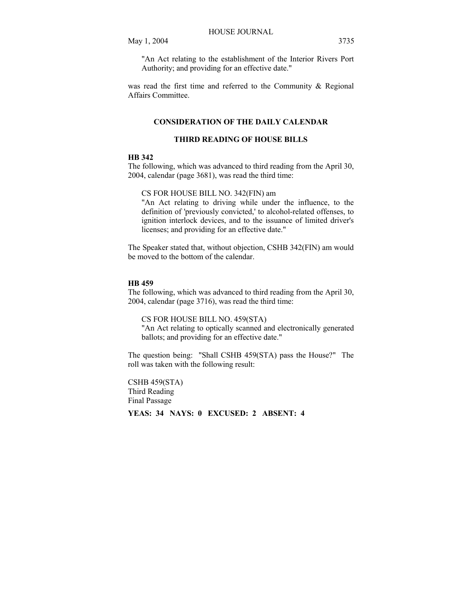"An Act relating to the establishment of the Interior Rivers Port Authority; and providing for an effective date."

was read the first time and referred to the Community & Regional Affairs Committee.

# **CONSIDERATION OF THE DAILY CALENDAR**

## **THIRD READING OF HOUSE BILLS**

## **HB 342**

The following, which was advanced to third reading from the April 30, 2004, calendar (page 3681), was read the third time:

#### CS FOR HOUSE BILL NO. 342(FIN) am

"An Act relating to driving while under the influence, to the definition of 'previously convicted,' to alcohol-related offenses, to ignition interlock devices, and to the issuance of limited driver's licenses; and providing for an effective date."

The Speaker stated that, without objection, CSHB 342(FIN) am would be moved to the bottom of the calendar.

#### **HB 459**

The following, which was advanced to third reading from the April 30, 2004, calendar (page 3716), was read the third time:

CS FOR HOUSE BILL NO. 459(STA)

"An Act relating to optically scanned and electronically generated ballots; and providing for an effective date."

The question being: "Shall CSHB 459(STA) pass the House?" The roll was taken with the following result:

CSHB 459(STA) Third Reading Final Passage

# **YEAS: 34 NAYS: 0 EXCUSED: 2 ABSENT: 4**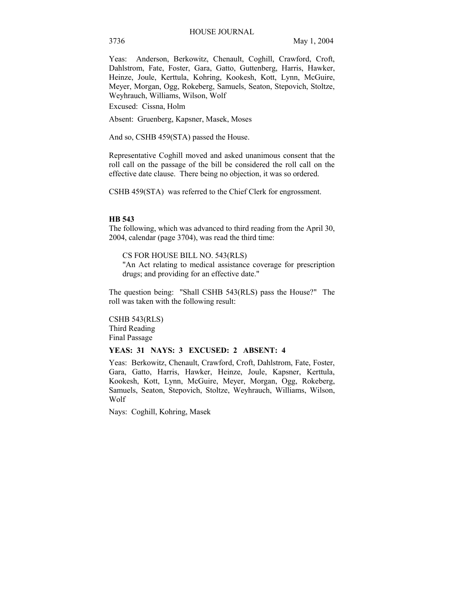Yeas: Anderson, Berkowitz, Chenault, Coghill, Crawford, Croft, Dahlstrom, Fate, Foster, Gara, Gatto, Guttenberg, Harris, Hawker, Heinze, Joule, Kerttula, Kohring, Kookesh, Kott, Lynn, McGuire, Meyer, Morgan, Ogg, Rokeberg, Samuels, Seaton, Stepovich, Stoltze, Weyhrauch, Williams, Wilson, Wolf

Excused: Cissna, Holm

Absent: Gruenberg, Kapsner, Masek, Moses

And so, CSHB 459(STA) passed the House.

Representative Coghill moved and asked unanimous consent that the roll call on the passage of the bill be considered the roll call on the effective date clause. There being no objection, it was so ordered.

CSHB 459(STA) was referred to the Chief Clerk for engrossment.

#### **HB 543**

The following, which was advanced to third reading from the April 30, 2004, calendar (page 3704), was read the third time:

CS FOR HOUSE BILL NO. 543(RLS)

"An Act relating to medical assistance coverage for prescription drugs; and providing for an effective date."

The question being: "Shall CSHB 543(RLS) pass the House?" The roll was taken with the following result:

CSHB 543(RLS) Third Reading Final Passage

#### **YEAS: 31 NAYS: 3 EXCUSED: 2 ABSENT: 4**

Yeas: Berkowitz, Chenault, Crawford, Croft, Dahlstrom, Fate, Foster, Gara, Gatto, Harris, Hawker, Heinze, Joule, Kapsner, Kerttula, Kookesh, Kott, Lynn, McGuire, Meyer, Morgan, Ogg, Rokeberg, Samuels, Seaton, Stepovich, Stoltze, Weyhrauch, Williams, Wilson, Wolf

Nays: Coghill, Kohring, Masek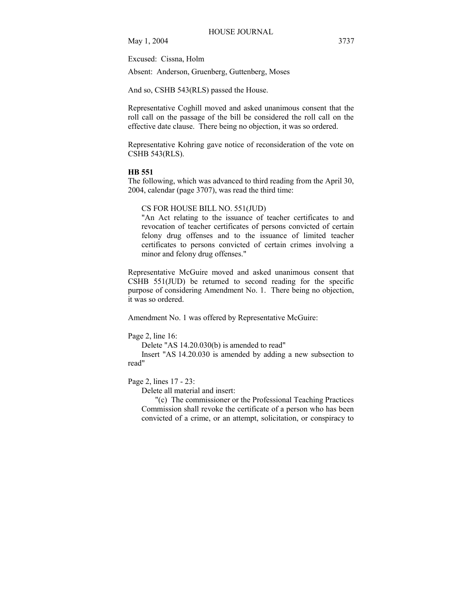Excused: Cissna, Holm

Absent: Anderson, Gruenberg, Guttenberg, Moses

And so, CSHB 543(RLS) passed the House.

Representative Coghill moved and asked unanimous consent that the roll call on the passage of the bill be considered the roll call on the effective date clause. There being no objection, it was so ordered.

Representative Kohring gave notice of reconsideration of the vote on CSHB 543(RLS).

## **HB 551**

The following, which was advanced to third reading from the April 30, 2004, calendar (page 3707), was read the third time:

# CS FOR HOUSE BILL NO. 551(JUD)

"An Act relating to the issuance of teacher certificates to and revocation of teacher certificates of persons convicted of certain felony drug offenses and to the issuance of limited teacher certificates to persons convicted of certain crimes involving a minor and felony drug offenses."

Representative McGuire moved and asked unanimous consent that CSHB 551(JUD) be returned to second reading for the specific purpose of considering Amendment No. 1. There being no objection, it was so ordered.

Amendment No. 1 was offered by Representative McGuire:

Page 2, line 16:

Delete "AS 14.20.030(b) is amended to read"

 Insert "AS 14.20.030 is amended by adding a new subsection to read"

## Page 2, lines 17 - 23:

Delete all material and insert:

 "(c) The commissioner or the Professional Teaching Practices Commission shall revoke the certificate of a person who has been convicted of a crime, or an attempt, solicitation, or conspiracy to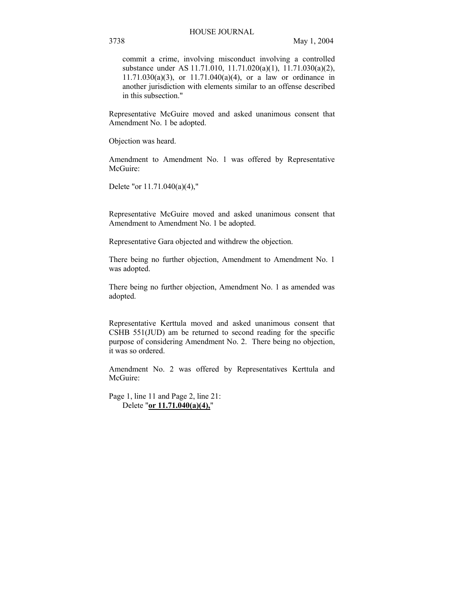commit a crime, involving misconduct involving a controlled substance under AS 11.71.010, 11.71.020(a)(1), 11.71.030(a)(2),  $11.71.030(a)(3)$ , or  $11.71.040(a)(4)$ , or a law or ordinance in another jurisdiction with elements similar to an offense described in this subsection."

Representative McGuire moved and asked unanimous consent that Amendment No. 1 be adopted.

Objection was heard.

Amendment to Amendment No. 1 was offered by Representative McGuire:

Delete "or 11.71.040(a)(4),"

Representative McGuire moved and asked unanimous consent that Amendment to Amendment No. 1 be adopted.

Representative Gara objected and withdrew the objection.

There being no further objection, Amendment to Amendment No. 1 was adopted.

There being no further objection, Amendment No. 1 as amended was adopted.

Representative Kerttula moved and asked unanimous consent that CSHB 551(JUD) am be returned to second reading for the specific purpose of considering Amendment No. 2. There being no objection, it was so ordered.

Amendment No. 2 was offered by Representatives Kerttula and McGuire:

Page 1, line 11 and Page 2, line 21: Delete "**or 11.71.040(a)(4),**"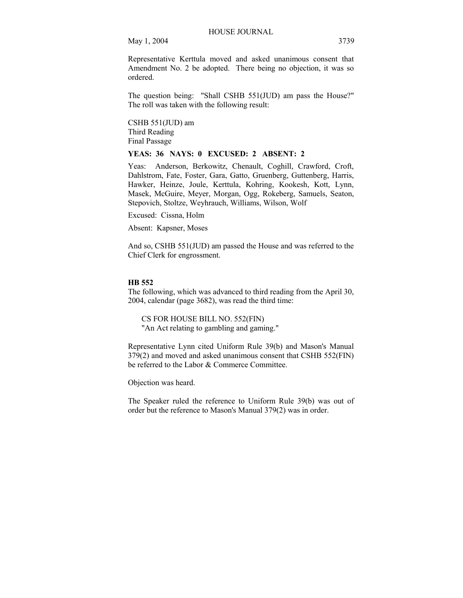Representative Kerttula moved and asked unanimous consent that Amendment No. 2 be adopted. There being no objection, it was so ordered.

The question being: "Shall CSHB 551(JUD) am pass the House?" The roll was taken with the following result:

CSHB 551(JUD) am Third Reading Final Passage

## **YEAS: 36 NAYS: 0 EXCUSED: 2 ABSENT: 2**

Yeas: Anderson, Berkowitz, Chenault, Coghill, Crawford, Croft, Dahlstrom, Fate, Foster, Gara, Gatto, Gruenberg, Guttenberg, Harris, Hawker, Heinze, Joule, Kerttula, Kohring, Kookesh, Kott, Lynn, Masek, McGuire, Meyer, Morgan, Ogg, Rokeberg, Samuels, Seaton, Stepovich, Stoltze, Weyhrauch, Williams, Wilson, Wolf

Excused: Cissna, Holm

Absent: Kapsner, Moses

And so, CSHB 551(JUD) am passed the House and was referred to the Chief Clerk for engrossment.

#### **HB 552**

The following, which was advanced to third reading from the April 30, 2004, calendar (page 3682), was read the third time:

CS FOR HOUSE BILL NO. 552(FIN) "An Act relating to gambling and gaming."

Representative Lynn cited Uniform Rule 39(b) and Mason's Manual 379(2) and moved and asked unanimous consent that CSHB 552(FIN) be referred to the Labor & Commerce Committee.

Objection was heard.

The Speaker ruled the reference to Uniform Rule 39(b) was out of order but the reference to Mason's Manual 379(2) was in order.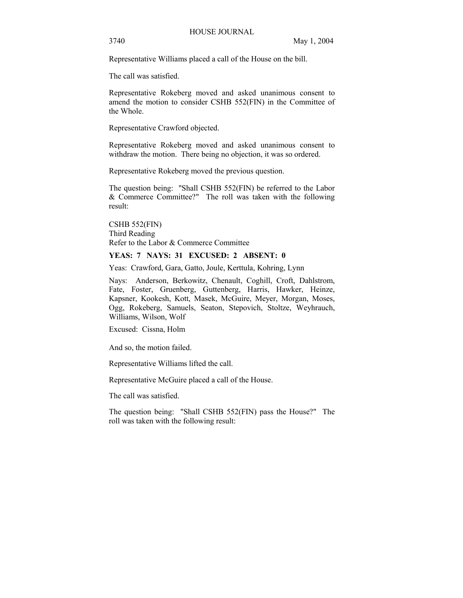Representative Williams placed a call of the House on the bill.

The call was satisfied.

Representative Rokeberg moved and asked unanimous consent to amend the motion to consider CSHB 552(FIN) in the Committee of the Whole.

Representative Crawford objected.

Representative Rokeberg moved and asked unanimous consent to withdraw the motion. There being no objection, it was so ordered.

Representative Rokeberg moved the previous question.

The question being: "Shall CSHB 552(FIN) be referred to the Labor & Commerce Committee?" The roll was taken with the following result:

CSHB 552(FIN) Third Reading Refer to the Labor & Commerce Committee

## **YEAS: 7 NAYS: 31 EXCUSED: 2 ABSENT: 0**

Yeas: Crawford, Gara, Gatto, Joule, Kerttula, Kohring, Lynn

Nays: Anderson, Berkowitz, Chenault, Coghill, Croft, Dahlstrom, Fate, Foster, Gruenberg, Guttenberg, Harris, Hawker, Heinze, Kapsner, Kookesh, Kott, Masek, McGuire, Meyer, Morgan, Moses, Ogg, Rokeberg, Samuels, Seaton, Stepovich, Stoltze, Weyhrauch, Williams, Wilson, Wolf

Excused: Cissna, Holm

And so, the motion failed.

Representative Williams lifted the call.

Representative McGuire placed a call of the House.

The call was satisfied.

The question being: "Shall CSHB 552(FIN) pass the House?" The roll was taken with the following result: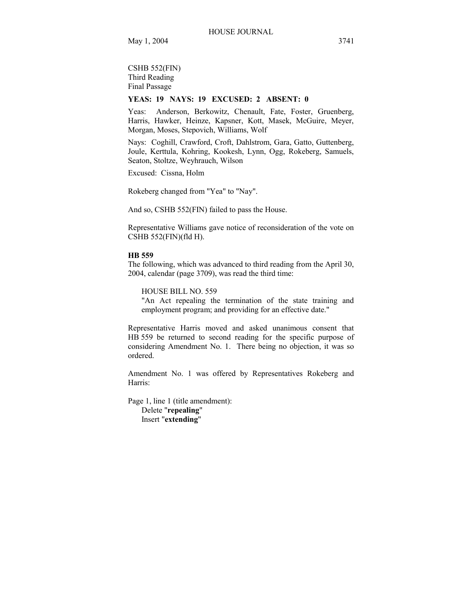CSHB 552(FIN) Third Reading Final Passage

## **YEAS: 19 NAYS: 19 EXCUSED: 2 ABSENT: 0**

Yeas: Anderson, Berkowitz, Chenault, Fate, Foster, Gruenberg, Harris, Hawker, Heinze, Kapsner, Kott, Masek, McGuire, Meyer, Morgan, Moses, Stepovich, Williams, Wolf

Nays: Coghill, Crawford, Croft, Dahlstrom, Gara, Gatto, Guttenberg, Joule, Kerttula, Kohring, Kookesh, Lynn, Ogg, Rokeberg, Samuels, Seaton, Stoltze, Weyhrauch, Wilson

Excused: Cissna, Holm

Rokeberg changed from "Yea" to "Nay".

And so, CSHB 552(FIN) failed to pass the House.

Representative Williams gave notice of reconsideration of the vote on CSHB 552(FIN)(fld H).

#### **HB 559**

The following, which was advanced to third reading from the April 30, 2004, calendar (page 3709), was read the third time:

HOUSE BILL NO. 559

"An Act repealing the termination of the state training and employment program; and providing for an effective date."

Representative Harris moved and asked unanimous consent that HB 559 be returned to second reading for the specific purpose of considering Amendment No. 1. There being no objection, it was so ordered.

Amendment No. 1 was offered by Representatives Rokeberg and Harris:

Page 1, line 1 (title amendment): Delete "**repealing**" Insert "**extending**"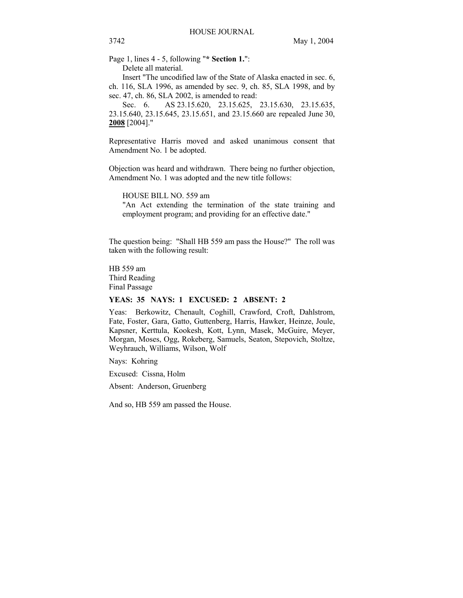Page 1, lines 4 - 5, following "**\* Section 1.**": Delete all material.

 Insert "The uncodified law of the State of Alaska enacted in sec. 6, ch. 116, SLA 1996, as amended by sec. 9, ch. 85, SLA 1998, and by sec. 47, ch. 86, SLA 2002, is amended to read:

Sec. 6. AS 23.15.620, 23.15.625, 23.15.630, 23.15.635, 23.15.640, 23.15.645, 23.15.651, and 23.15.660 are repealed June 30, **2008** [2004]."

Representative Harris moved and asked unanimous consent that Amendment No. 1 be adopted.

Objection was heard and withdrawn. There being no further objection, Amendment No. 1 was adopted and the new title follows:

HOUSE BILL NO. 559 am

"An Act extending the termination of the state training and employment program; and providing for an effective date."

The question being: "Shall HB 559 am pass the House?" The roll was taken with the following result:

HB 559 am Third Reading Final Passage

## **YEAS: 35 NAYS: 1 EXCUSED: 2 ABSENT: 2**

Yeas: Berkowitz, Chenault, Coghill, Crawford, Croft, Dahlstrom, Fate, Foster, Gara, Gatto, Guttenberg, Harris, Hawker, Heinze, Joule, Kapsner, Kerttula, Kookesh, Kott, Lynn, Masek, McGuire, Meyer, Morgan, Moses, Ogg, Rokeberg, Samuels, Seaton, Stepovich, Stoltze, Weyhrauch, Williams, Wilson, Wolf

Nays: Kohring

Excused: Cissna, Holm

Absent: Anderson, Gruenberg

And so, HB 559 am passed the House.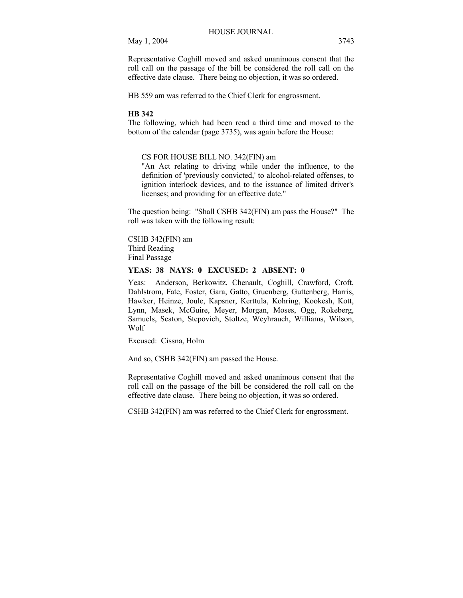Representative Coghill moved and asked unanimous consent that the roll call on the passage of the bill be considered the roll call on the effective date clause. There being no objection, it was so ordered.

HB 559 am was referred to the Chief Clerk for engrossment.

#### **HB 342**

The following, which had been read a third time and moved to the bottom of the calendar (page 3735), was again before the House:

## CS FOR HOUSE BILL NO. 342(FIN) am

"An Act relating to driving while under the influence, to the definition of 'previously convicted,' to alcohol-related offenses, to ignition interlock devices, and to the issuance of limited driver's licenses; and providing for an effective date."

The question being: "Shall CSHB 342(FIN) am pass the House?" The roll was taken with the following result:

CSHB 342(FIN) am Third Reading Final Passage

# **YEAS: 38 NAYS: 0 EXCUSED: 2 ABSENT: 0**

Yeas: Anderson, Berkowitz, Chenault, Coghill, Crawford, Croft, Dahlstrom, Fate, Foster, Gara, Gatto, Gruenberg, Guttenberg, Harris, Hawker, Heinze, Joule, Kapsner, Kerttula, Kohring, Kookesh, Kott, Lynn, Masek, McGuire, Meyer, Morgan, Moses, Ogg, Rokeberg, Samuels, Seaton, Stepovich, Stoltze, Weyhrauch, Williams, Wilson, Wolf

Excused: Cissna, Holm

And so, CSHB 342(FIN) am passed the House.

Representative Coghill moved and asked unanimous consent that the roll call on the passage of the bill be considered the roll call on the effective date clause. There being no objection, it was so ordered.

CSHB 342(FIN) am was referred to the Chief Clerk for engrossment.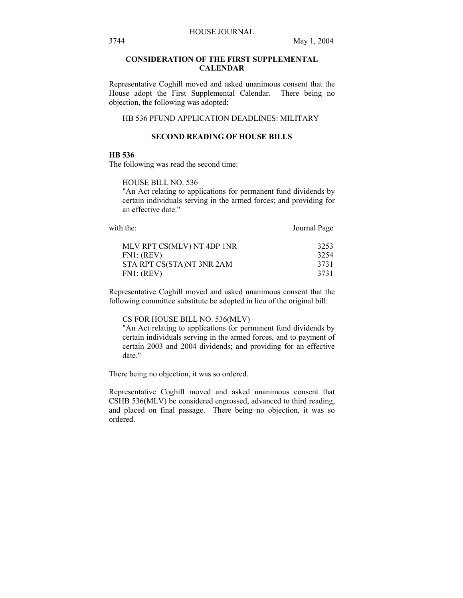# **CONSIDERATION OF THE FIRST SUPPLEMENTAL CALENDAR**

Representative Coghill moved and asked unanimous consent that the House adopt the First Supplemental Calendar. There being no objection, the following was adopted:

# HB 536 PFUND APPLICATION DEADLINES: MILITARY

# **SECOND READING OF HOUSE BILLS**

## **HB 536**

The following was read the second time:

HOUSE BILL NO. 536

"An Act relating to applications for permanent fund dividends by certain individuals serving in the armed forces; and providing for an effective date."

with the: Journal Page

| MLV RPT CS(MLV) NT 4DP 1NR | 3253 |
|----------------------------|------|
| FN1: (REV)                 | 3254 |
| STA RPT CS(STA)NT 3NR 2AM  | 3731 |
| FN1: (REV)                 | 3731 |

Representative Coghill moved and asked unanimous consent that the following committee substitute be adopted in lieu of the original bill:

#### CS FOR HOUSE BILL NO. 536(MLV)

"An Act relating to applications for permanent fund dividends by certain individuals serving in the armed forces, and to payment of certain 2003 and 2004 dividends; and providing for an effective date."

There being no objection, it was so ordered.

Representative Coghill moved and asked unanimous consent that CSHB 536(MLV) be considered engrossed, advanced to third reading, and placed on final passage. There being no objection, it was so ordered.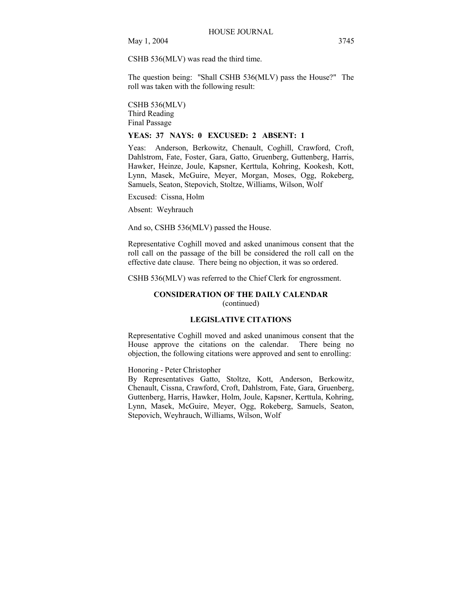CSHB 536(MLV) was read the third time.

The question being: "Shall CSHB 536(MLV) pass the House?" The roll was taken with the following result:

CSHB 536(MLV) Third Reading Final Passage

#### **YEAS: 37 NAYS: 0 EXCUSED: 2 ABSENT: 1**

Yeas: Anderson, Berkowitz, Chenault, Coghill, Crawford, Croft, Dahlstrom, Fate, Foster, Gara, Gatto, Gruenberg, Guttenberg, Harris, Hawker, Heinze, Joule, Kapsner, Kerttula, Kohring, Kookesh, Kott, Lynn, Masek, McGuire, Meyer, Morgan, Moses, Ogg, Rokeberg, Samuels, Seaton, Stepovich, Stoltze, Williams, Wilson, Wolf

Excused: Cissna, Holm

Absent: Weyhrauch

And so, CSHB 536(MLV) passed the House.

Representative Coghill moved and asked unanimous consent that the roll call on the passage of the bill be considered the roll call on the effective date clause. There being no objection, it was so ordered.

CSHB 536(MLV) was referred to the Chief Clerk for engrossment.

# **CONSIDERATION OF THE DAILY CALENDAR**  (continued)

# **LEGISLATIVE CITATIONS**

Representative Coghill moved and asked unanimous consent that the House approve the citations on the calendar. There being no objection, the following citations were approved and sent to enrolling:

Honoring - Peter Christopher

By Representatives Gatto, Stoltze, Kott, Anderson, Berkowitz, Chenault, Cissna, Crawford, Croft, Dahlstrom, Fate, Gara, Gruenberg, Guttenberg, Harris, Hawker, Holm, Joule, Kapsner, Kerttula, Kohring, Lynn, Masek, McGuire, Meyer, Ogg, Rokeberg, Samuels, Seaton, Stepovich, Weyhrauch, Williams, Wilson, Wolf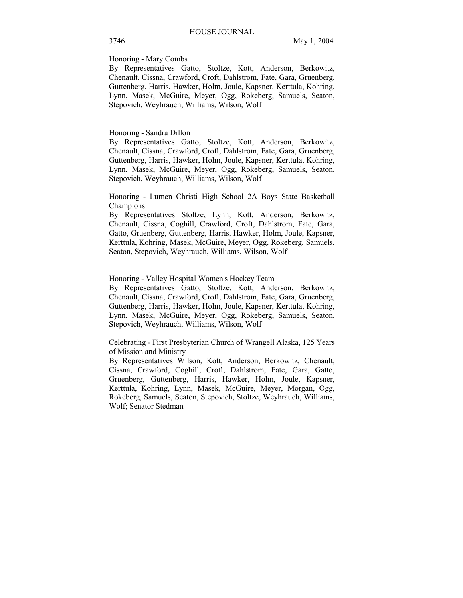#### Honoring - Mary Combs

By Representatives Gatto, Stoltze, Kott, Anderson, Berkowitz, Chenault, Cissna, Crawford, Croft, Dahlstrom, Fate, Gara, Gruenberg, Guttenberg, Harris, Hawker, Holm, Joule, Kapsner, Kerttula, Kohring, Lynn, Masek, McGuire, Meyer, Ogg, Rokeberg, Samuels, Seaton, Stepovich, Weyhrauch, Williams, Wilson, Wolf

## Honoring - Sandra Dillon

By Representatives Gatto, Stoltze, Kott, Anderson, Berkowitz, Chenault, Cissna, Crawford, Croft, Dahlstrom, Fate, Gara, Gruenberg, Guttenberg, Harris, Hawker, Holm, Joule, Kapsner, Kerttula, Kohring, Lynn, Masek, McGuire, Meyer, Ogg, Rokeberg, Samuels, Seaton, Stepovich, Weyhrauch, Williams, Wilson, Wolf

Honoring - Lumen Christi High School 2A Boys State Basketball Champions

By Representatives Stoltze, Lynn, Kott, Anderson, Berkowitz, Chenault, Cissna, Coghill, Crawford, Croft, Dahlstrom, Fate, Gara, Gatto, Gruenberg, Guttenberg, Harris, Hawker, Holm, Joule, Kapsner, Kerttula, Kohring, Masek, McGuire, Meyer, Ogg, Rokeberg, Samuels, Seaton, Stepovich, Weyhrauch, Williams, Wilson, Wolf

Honoring - Valley Hospital Women's Hockey Team

By Representatives Gatto, Stoltze, Kott, Anderson, Berkowitz, Chenault, Cissna, Crawford, Croft, Dahlstrom, Fate, Gara, Gruenberg, Guttenberg, Harris, Hawker, Holm, Joule, Kapsner, Kerttula, Kohring, Lynn, Masek, McGuire, Meyer, Ogg, Rokeberg, Samuels, Seaton, Stepovich, Weyhrauch, Williams, Wilson, Wolf

Celebrating - First Presbyterian Church of Wrangell Alaska, 125 Years of Mission and Ministry

By Representatives Wilson, Kott, Anderson, Berkowitz, Chenault, Cissna, Crawford, Coghill, Croft, Dahlstrom, Fate, Gara, Gatto, Gruenberg, Guttenberg, Harris, Hawker, Holm, Joule, Kapsner, Kerttula, Kohring, Lynn, Masek, McGuire, Meyer, Morgan, Ogg, Rokeberg, Samuels, Seaton, Stepovich, Stoltze, Weyhrauch, Williams, Wolf; Senator Stedman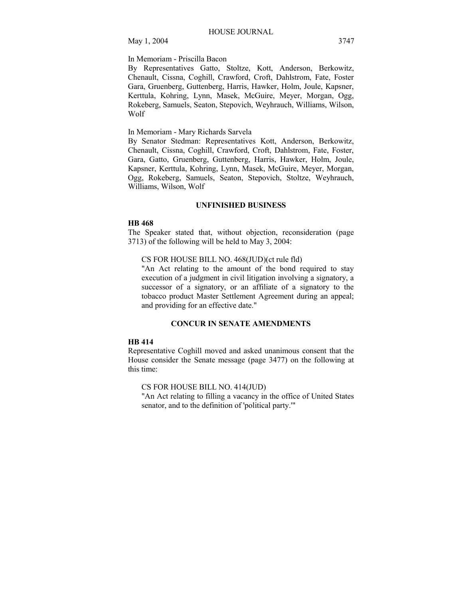# In Memoriam - Priscilla Bacon

By Representatives Gatto, Stoltze, Kott, Anderson, Berkowitz, Chenault, Cissna, Coghill, Crawford, Croft, Dahlstrom, Fate, Foster Gara, Gruenberg, Guttenberg, Harris, Hawker, Holm, Joule, Kapsner, Kerttula, Kohring, Lynn, Masek, McGuire, Meyer, Morgan, Ogg, Rokeberg, Samuels, Seaton, Stepovich, Weyhrauch, Williams, Wilson, Wolf

# In Memoriam - Mary Richards Sarvela

By Senator Stedman: Representatives Kott, Anderson, Berkowitz, Chenault, Cissna, Coghill, Crawford, Croft, Dahlstrom, Fate, Foster, Gara, Gatto, Gruenberg, Guttenberg, Harris, Hawker, Holm, Joule, Kapsner, Kerttula, Kohring, Lynn, Masek, McGuire, Meyer, Morgan, Ogg, Rokeberg, Samuels, Seaton, Stepovich, Stoltze, Weyhrauch, Williams, Wilson, Wolf

### **UNFINISHED BUSINESS**

#### **HB 468**

The Speaker stated that, without objection, reconsideration (page 3713) of the following will be held to May 3, 2004:

CS FOR HOUSE BILL NO. 468(JUD)(ct rule fld)

"An Act relating to the amount of the bond required to stay execution of a judgment in civil litigation involving a signatory, a successor of a signatory, or an affiliate of a signatory to the tobacco product Master Settlement Agreement during an appeal; and providing for an effective date."

# **CONCUR IN SENATE AMENDMENTS**

## **HB 414**

Representative Coghill moved and asked unanimous consent that the House consider the Senate message (page 3477) on the following at this time:

CS FOR HOUSE BILL NO. 414(JUD)

"An Act relating to filling a vacancy in the office of United States senator, and to the definition of 'political party.'"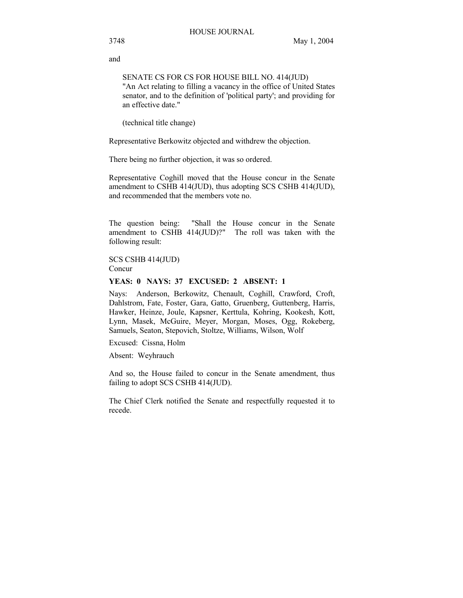and

SENATE CS FOR CS FOR HOUSE BILL NO. 414(JUD) "An Act relating to filling a vacancy in the office of United States senator, and to the definition of 'political party'; and providing for an effective date."

(technical title change)

Representative Berkowitz objected and withdrew the objection.

There being no further objection, it was so ordered.

Representative Coghill moved that the House concur in the Senate amendment to CSHB 414(JUD), thus adopting SCS CSHB 414(JUD), and recommended that the members vote no.

The question being: "Shall the House concur in the Senate amendment to CSHB 414(JUD)?" The roll was taken with the following result:

SCS CSHB 414(JUD) Concur

## **YEAS: 0 NAYS: 37 EXCUSED: 2 ABSENT: 1**

Nays: Anderson, Berkowitz, Chenault, Coghill, Crawford, Croft, Dahlstrom, Fate, Foster, Gara, Gatto, Gruenberg, Guttenberg, Harris, Hawker, Heinze, Joule, Kapsner, Kerttula, Kohring, Kookesh, Kott, Lynn, Masek, McGuire, Meyer, Morgan, Moses, Ogg, Rokeberg, Samuels, Seaton, Stepovich, Stoltze, Williams, Wilson, Wolf

Excused: Cissna, Holm

Absent: Weyhrauch

And so, the House failed to concur in the Senate amendment, thus failing to adopt SCS CSHB 414(JUD).

The Chief Clerk notified the Senate and respectfully requested it to recede.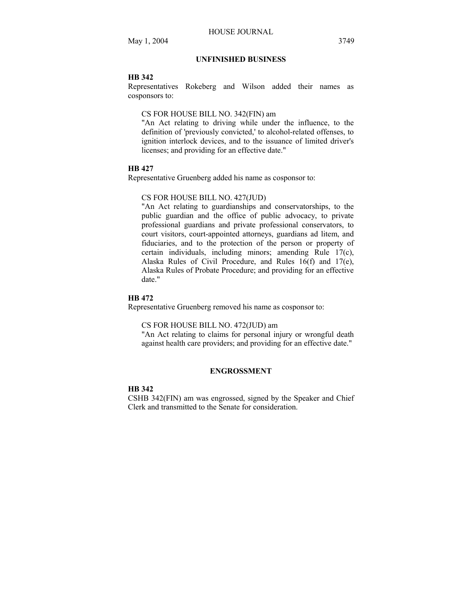# **UNFINISHED BUSINESS**

#### **HB 342**

Representatives Rokeberg and Wilson added their names as cosponsors to:

## CS FOR HOUSE BILL NO. 342(FIN) am

"An Act relating to driving while under the influence, to the definition of 'previously convicted,' to alcohol-related offenses, to ignition interlock devices, and to the issuance of limited driver's licenses; and providing for an effective date."

# **HB 427**

Representative Gruenberg added his name as cosponsor to:

#### CS FOR HOUSE BILL NO. 427(JUD)

"An Act relating to guardianships and conservatorships, to the public guardian and the office of public advocacy, to private professional guardians and private professional conservators, to court visitors, court-appointed attorneys, guardians ad litem, and fiduciaries, and to the protection of the person or property of certain individuals, including minors; amending Rule 17(c), Alaska Rules of Civil Procedure, and Rules 16(f) and 17(e), Alaska Rules of Probate Procedure; and providing for an effective date."

# **HB 472**

Representative Gruenberg removed his name as cosponsor to:

#### CS FOR HOUSE BILL NO. 472(JUD) am

"An Act relating to claims for personal injury or wrongful death against health care providers; and providing for an effective date."

# **ENGROSSMENT**

## **HB 342**

CSHB 342(FIN) am was engrossed, signed by the Speaker and Chief Clerk and transmitted to the Senate for consideration.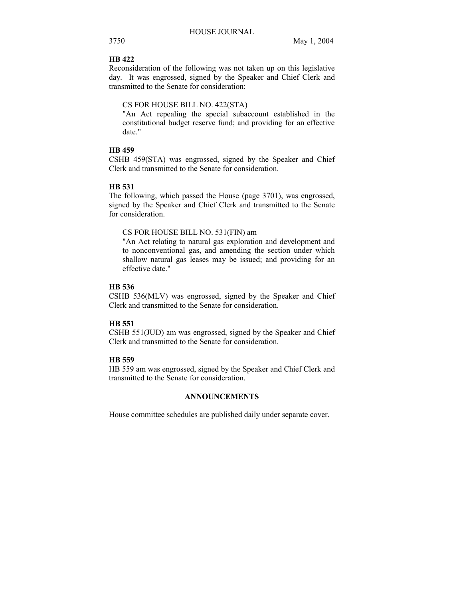# **HB 422**

Reconsideration of the following was not taken up on this legislative day. It was engrossed, signed by the Speaker and Chief Clerk and transmitted to the Senate for consideration:

# CS FOR HOUSE BILL NO. 422(STA)

"An Act repealing the special subaccount established in the constitutional budget reserve fund; and providing for an effective date."

# **HB 459**

CSHB 459(STA) was engrossed, signed by the Speaker and Chief Clerk and transmitted to the Senate for consideration.

# **HB 531**

The following, which passed the House (page 3701), was engrossed, signed by the Speaker and Chief Clerk and transmitted to the Senate for consideration.

# CS FOR HOUSE BILL NO. 531(FIN) am

"An Act relating to natural gas exploration and development and to nonconventional gas, and amending the section under which shallow natural gas leases may be issued; and providing for an effective date."

# **HB 536**

CSHB 536(MLV) was engrossed, signed by the Speaker and Chief Clerk and transmitted to the Senate for consideration.

# **HB 551**

CSHB 551(JUD) am was engrossed, signed by the Speaker and Chief Clerk and transmitted to the Senate for consideration.

# **HB 559**

HB 559 am was engrossed, signed by the Speaker and Chief Clerk and transmitted to the Senate for consideration.

# **ANNOUNCEMENTS**

House committee schedules are published daily under separate cover.